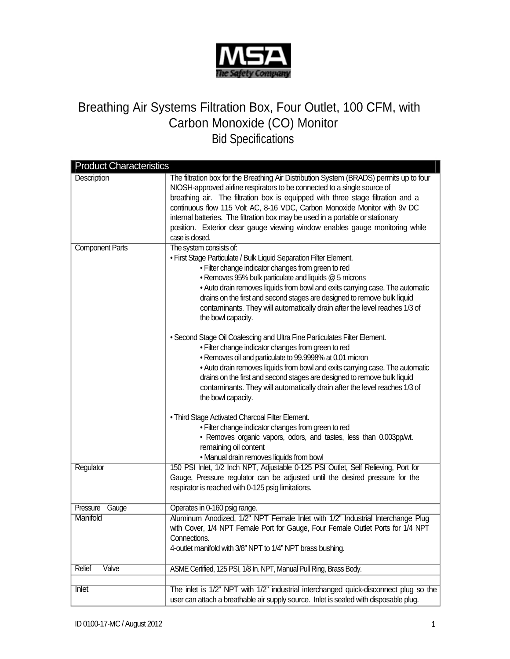

## Breathing Air Systems Filtration Box, Four Outlet, 100 CFM, with Carbon Monoxide (CO) Monitor Bid Specifications

| <b>Product Characteristics</b> |                                                                                                                                                                                                                                                                                                                                                                                                                                                                                                                          |  |
|--------------------------------|--------------------------------------------------------------------------------------------------------------------------------------------------------------------------------------------------------------------------------------------------------------------------------------------------------------------------------------------------------------------------------------------------------------------------------------------------------------------------------------------------------------------------|--|
| Description                    | The filtration box for the Breathing Air Distribution System (BRADS) permits up to four<br>NIOSH-approved airline respirators to be connected to a single source of<br>breathing air. The filtration box is equipped with three stage filtration and a<br>continuous flow 115 Volt AC, 8-16 VDC, Carbon Monoxide Monitor with 9v DC<br>internal batteries. The filtration box may be used in a portable or stationary<br>position. Exterior clear gauge viewing window enables gauge monitoring while<br>case is closed. |  |
| <b>Component Parts</b>         | The system consists of:<br>• First Stage Particulate / Bulk Liquid Separation Filter Element.<br>. Filter change indicator changes from green to red<br>• Removes 95% bulk particulate and liquids @ 5 microns<br>. Auto drain removes liquids from bowl and exits carrying case. The automatic<br>drains on the first and second stages are designed to remove bulk liquid<br>contaminants. They will automatically drain after the level reaches 1/3 of<br>the bowl capacity.                                          |  |
|                                | • Second Stage Oil Coalescing and Ultra Fine Particulates Filter Element.<br>. Filter change indicator changes from green to red<br>• Removes oil and particulate to 99.9998% at 0.01 micron<br>. Auto drain removes liquids from bowl and exits carrying case. The automatic<br>drains on the first and second stages are designed to remove bulk liquid<br>contaminants. They will automatically drain after the level reaches 1/3 of<br>the bowl capacity.                                                            |  |
|                                | . Third Stage Activated Charcoal Filter Element.<br>. Filter change indicator changes from green to red<br>• Removes organic vapors, odors, and tastes, less than 0.003pp/wt.<br>remaining oil content<br>. Manual drain removes liquids from bowl                                                                                                                                                                                                                                                                       |  |
| Regulator                      | 150 PSI Inlet, 1/2 Inch NPT, Adjustable 0-125 PSI Outlet, Self Relieving, Port for<br>Gauge, Pressure regulator can be adjusted until the desired pressure for the<br>respirator is reached with 0-125 psig limitations.                                                                                                                                                                                                                                                                                                 |  |
| Pressure<br>Gauge              | Operates in 0-160 psig range.                                                                                                                                                                                                                                                                                                                                                                                                                                                                                            |  |
| Manifold                       | Aluminum Anodized, 1/2" NPT Female Inlet with 1/2" Industrial Interchange Plug<br>with Cover, 1/4 NPT Female Port for Gauge, Four Female Outlet Ports for 1/4 NPT<br>Connections.<br>4-outlet manifold with 3/8" NPT to 1/4" NPT brass bushing.                                                                                                                                                                                                                                                                          |  |
| Relief<br>Valve                | ASME Certified, 125 PSI, 1/8 In. NPT, Manual Pull Ring, Brass Body.                                                                                                                                                                                                                                                                                                                                                                                                                                                      |  |
|                                |                                                                                                                                                                                                                                                                                                                                                                                                                                                                                                                          |  |
| <b>Inlet</b>                   | The inlet is 1/2" NPT with 1/2" industrial interchanged quick-disconnect plug so the<br>user can attach a breathable air supply source. Inlet is sealed with disposable plug.                                                                                                                                                                                                                                                                                                                                            |  |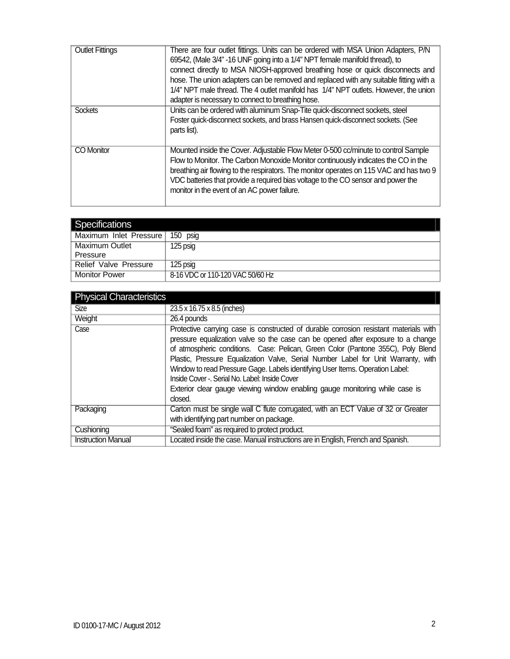| <b>Outlet Fittings</b> | There are four outlet fittings. Units can be ordered with MSA Union Adapters, P/N<br>69542, (Male 3/4" -16 UNF going into a 1/4" NPT female manifold thread), to<br>connect directly to MSA NIOSH-approved breathing hose or quick disconnects and<br>hose. The union adapters can be removed and replaced with any suitable fitting with a<br>1/4" NPT male thread. The 4 outlet manifold has 1/4" NPT outlets. However, the union<br>adapter is necessary to connect to breathing hose. |
|------------------------|-------------------------------------------------------------------------------------------------------------------------------------------------------------------------------------------------------------------------------------------------------------------------------------------------------------------------------------------------------------------------------------------------------------------------------------------------------------------------------------------|
| <b>Sockets</b>         | Units can be ordered with aluminum Snap-Tite quick-disconnect sockets, steel<br>Foster quick-disconnect sockets, and brass Hansen quick-disconnect sockets. (See<br>parts list).                                                                                                                                                                                                                                                                                                          |
| <b>CO</b> Monitor      | Mounted inside the Cover. Adjustable Flow Meter 0-500 cc/minute to control Sample<br>Flow to Monitor. The Carbon Monoxide Monitor continuously indicates the CO in the<br>breathing air flowing to the respirators. The monitor operates on 115 VAC and has two 9<br>VDC batteries that provide a required bias voltage to the CO sensor and power the<br>monitor in the event of an AC power failure.                                                                                    |

| Specifications         |                                  |
|------------------------|----------------------------------|
| Maximum Inlet Pressure | 150 psig                         |
| <b>Maximum Outlet</b>  | 125 psig                         |
| Pressure               |                                  |
| Relief Valve Pressure  | 125 psig                         |
| <b>Monitor Power</b>   | 8-16 VDC or 110-120 VAC 50/60 Hz |

| <b>Physical Characteristics</b> |                                                                                                                                                                                                                                                                                                                                                                                                                                                                                                                                                                                 |
|---------------------------------|---------------------------------------------------------------------------------------------------------------------------------------------------------------------------------------------------------------------------------------------------------------------------------------------------------------------------------------------------------------------------------------------------------------------------------------------------------------------------------------------------------------------------------------------------------------------------------|
| <b>Size</b>                     | 23.5 x 16.75 x 8.5 (inches)                                                                                                                                                                                                                                                                                                                                                                                                                                                                                                                                                     |
| Weight                          | 26.4 pounds                                                                                                                                                                                                                                                                                                                                                                                                                                                                                                                                                                     |
| Case                            | Protective carrying case is constructed of durable corrosion resistant materials with<br>pressure equalization valve so the case can be opened after exposure to a change<br>of atmospheric conditions. Case: Pelican, Green Color (Pantone 355C), Poly Blend<br>Plastic, Pressure Equalization Valve, Serial Number Label for Unit Warranty, with<br>Window to read Pressure Gage. Labels identifying User Items. Operation Label:<br>Inside Cover -. Serial No. Label: Inside Cover<br>Exterior clear gauge viewing window enabling gauge monitoring while case is<br>closed. |
| Packaging                       | Carton must be single wall C flute corrugated, with an ECT Value of 32 or Greater<br>with identifying part number on package.                                                                                                                                                                                                                                                                                                                                                                                                                                                   |
| Cushioning                      | "Sealed foam" as required to protect product.                                                                                                                                                                                                                                                                                                                                                                                                                                                                                                                                   |
| <b>Instruction Manual</b>       | Located inside the case. Manual instructions are in English, French and Spanish.                                                                                                                                                                                                                                                                                                                                                                                                                                                                                                |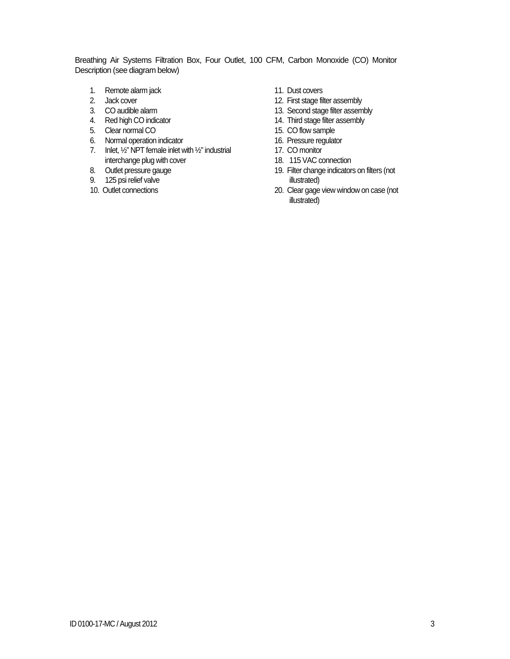Breathing Air Systems Filtration Box, Four Outlet, 100 CFM, Carbon Monoxide (CO) Monitor Description (see diagram below)

- 1. Remote alarm jack 11. Dust covers
- 
- 
- 4. Red high CO indicator 14. Third stage filter assembly
- 5. Clear normal CO 15. CO flow sample
- 6. Normal operation indicator 16. Pressure regulator
- 7. Inlet, 1/2" NPT female inlet with 1/2" industrial 17. CO monitor interchange plug with cover 18. 115 VAC connection
- 
- 
- 
- 
- 2. Jack cover **12.** First stage filter assembly
- 3. CO audible alarm 13. Second stage filter assembly
	-
	-
	-
	-
	-
- 19. Filter change indicators on filters (not 8. Outlet pressure gauge 19. Filter chang<br>
9. 125 psi relief valve illustrated)
- 10. Outlet connections 20. Clear gage view window on case (not illustrated)